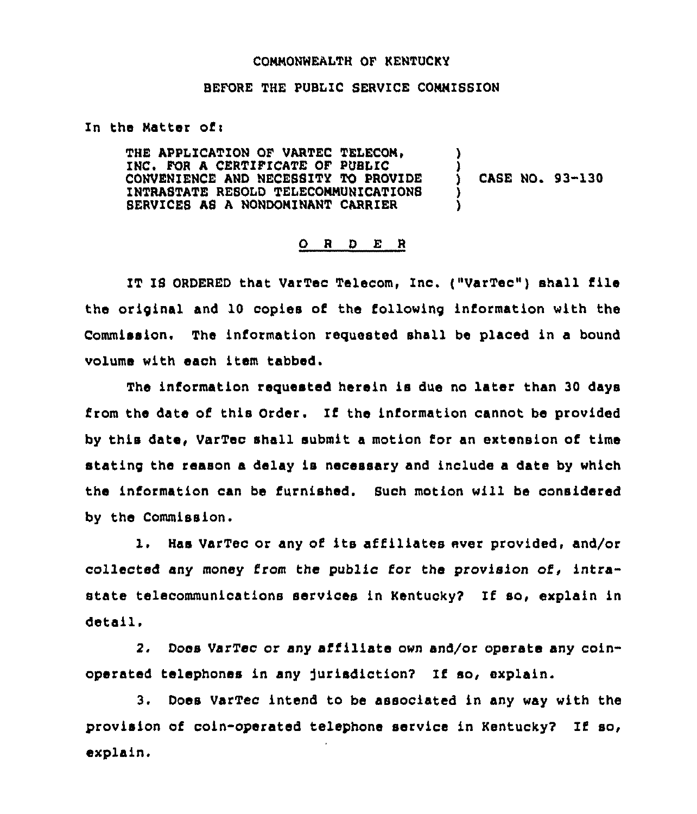## CONNONWEALTH OF KENTUCKY

## BEFORE THE PUBLIC SERVICE COMMISSION

In the Matter of:

THE APPLICATION OF VARTEC TELECOM. INC. FOR A CERTIFICATE OF PUBLIC CONVENIENCE AND NECESSITY TO PROVIDE INTRASTATE RESOLD TELECOMMUNICATIONS SERVICES AS A NONDOMINANT CARRIER )<br>) )

 $($  CASE NO. 93-130

## ORDER

IT IS ORDERED that VarTec Telecom, Inc. ("VarTec") shall file the original and 10 copies of the following information with the Commission. The information requested shall be placed in a bound volume with each item tabbed.

The information requested herein is due no later than 30 days from the date of this Order. If the information cannot be provided by this date, VarTec shall submit a motion for an extension of time stating the reason a delay is necessary and include a date by which the information can be furnished. Such motion will be considered by the Commission.

l. Bas VarTec or any of its affiliates ever provided, and/or collected any money from the public for the provision of, intrastate telecommunications services in Kentucky2 If so, explain in detail.

2. Does VarTec or any affiliate own and/or operate any coinoperated telephones in any jurisdiction? Zf so, explain.

3. Does VarTec intend to be associated in any way with the provision of coin-operated telephone service in Kentucky2 If so, explain,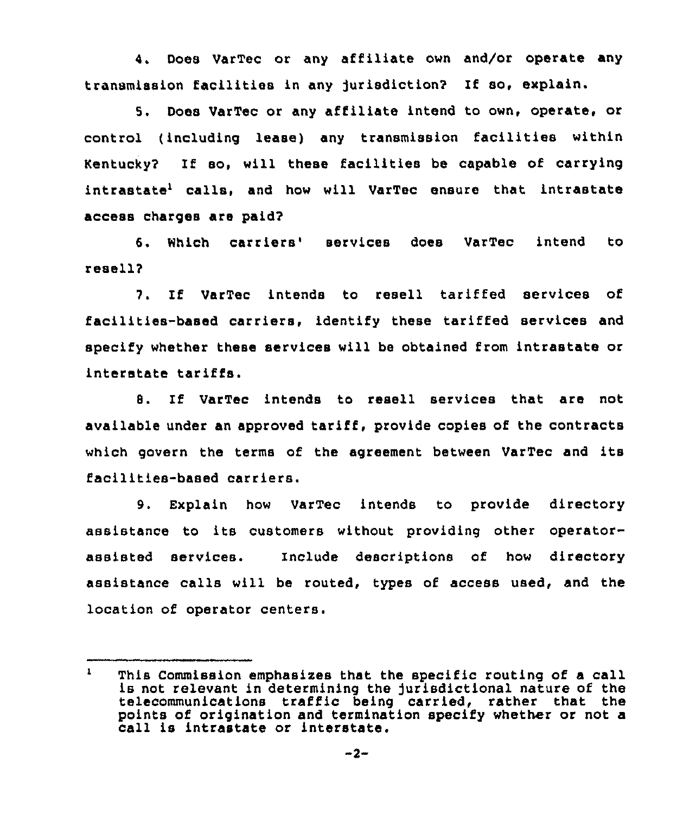4. Does VarTec or any affiliate own and/or operate any transm1ssion facilities in any jurisdiction'? If so, explain.

5. Does VarTec or any affiliate intend to own, operate, or control (including lease) any transmission facilities within Kentucky? If so, will these facilities be capable of carrying intrastate<sup>1</sup> calls, and how will VarTec ensure that intrastate access charges are paid?

6. Which carriers' services does VarTec intend to resell?

7. If VarTec intends to resell tariffed services of facilities-based carriers, identify these tariffed services and specify whether these services will be obtained from intrastate or interstate tariffs.

8. If VarTec intends to resell services that are not available under an approved tariff, provide copies of the contracts which govern the terms of the agreement between VarTec and 1ts facilities-based carriers.

9. Explain how VarTec intends to provide directory assistance to its customers without providing other operatorassisted services. Include descriptions of how directory assistance calls will be routed, types of access used, and the location of operator centers.

 $\mathbf{1}$ This Commission emphasises that the specific routing of <sup>a</sup> call is not relevant in determining the jurisdictional nature of the telecommunications traffic being carried, rather that the points of origination and termination specify whether or not a call is intrastate or interstate.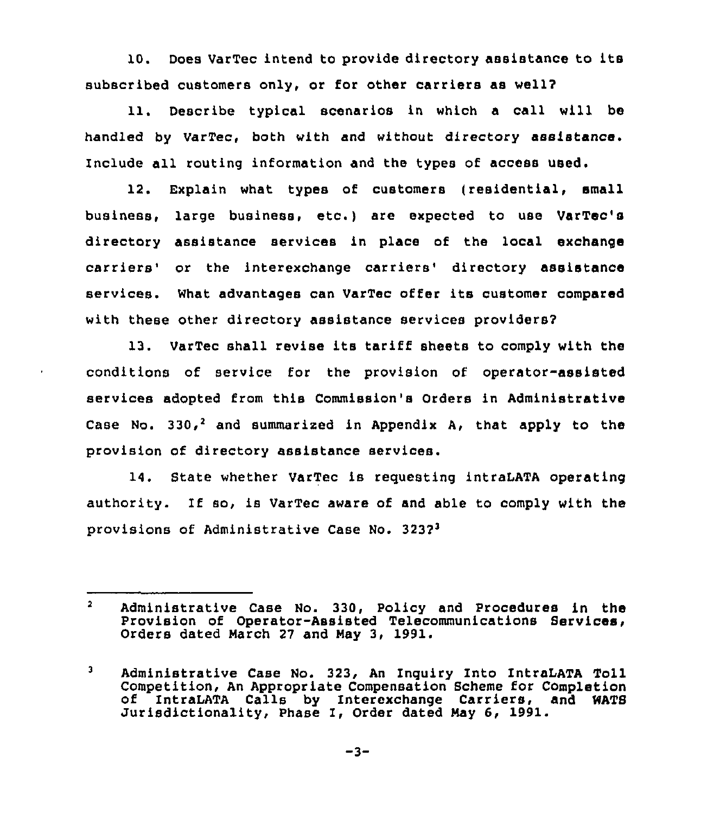10. Does VarTec intend to provide directory assistance to its subscribed customers only, or for other carriers as well?

11. Describe typical scenarios in which a call will be handled by VarTec, both with and without directory assistance. Include all routing information and the types of access used.

12. Explain what types of customers (residential, small business, larqe business, etc.) are expected to use VarTec's directory assistance services in place of the local exchange carriers' or the interexchange carriers' directory assistance services. What advantages can VarTec offer its customer compared with these other directory assistance services providers?

13. VarTec shall revise its tariff sheets to comply with the conditions of service for the provision of operator-assisted services adopted from this Commission's Orders in Administrative Case No. 330,<sup>2</sup> and summarized in Appendix A, that apply to the provision of directory assistance services.

14. State whether VarTec is requesting intraLATA operating authority. If so, is VarTec aware of and able to comply with the provisions of Administrative Case No. 323?

 $\mathbf{2}$ Administrative Case No. 330, Policy and Procedures in the Provision of Operator-Assisted Telecommunications Services, Orders dated Narch <sup>27</sup> and Nay 3, 1991.

 $\mathbf{3}$ Administrative Case No. 323, An Inquiry Into IntraLATA Toll<br>Competition, An Appropriate Compensation Scheme for Completion of IntraLATA Calls by Interexchange Carriers, and WATS<br>Jurisdictionality, Phase I, Order dated May 6, 1991.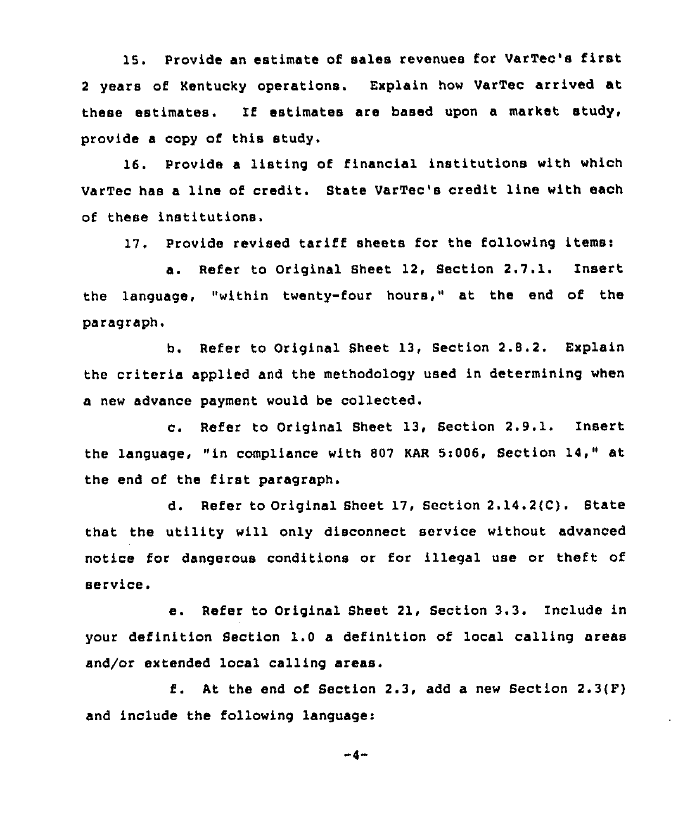15. Provide an estimate of sales revenues for VarTec's first <sup>2</sup> years of Kentucky operations. Explain how VarTec arrived at these estimates. If estimates are based upon a market study, provide a copy of this study.

16. Provide a listing of financial institutions with which VarTec has a line of credit. State VarTec's credit line with each of these institutions.

17. Provide revised tariff sheets for the following items:

a. Refer to Original Sheet 12, Section 2.7.1. Insert the language, "within twenty-four hours," at the end of the paragraph,

b. Refer to Original Sheet 13, Section 2.8.2. Explain the criteria applied and the methodology used in determining when a new advance payment would be collected.

c. Refer to Original Sheet 13, Section 2.9.1. Insert the language, "in compliance with 807 KAR 5:006, Section 14," at the end of the first paragraph.

d. Refer to Original Sheet 17, Section 2.14.2fC). State that the utility will only disconnect service without advanced notice for dangerous conditions or for illegal use or theft of service.

e. Refer to Original Sheet 21, Section 3.3. Include in your definition Section 1.0 a definition of local calling areas and/or extended local calling areas.

f. At the end of Section 2.3, add a new Section  $2.3(F)$ and include the following language:

 $-4-$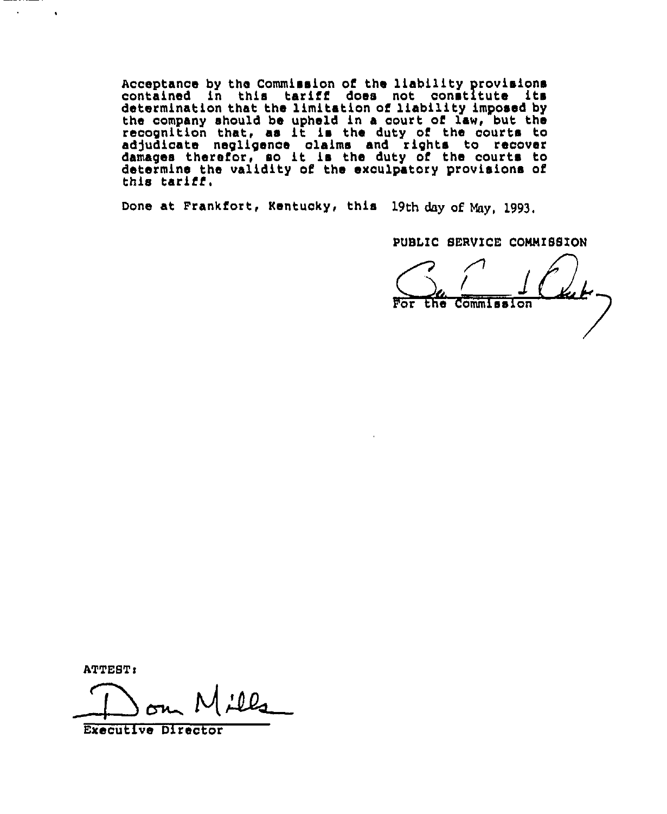Acceptance by the Commission of the liability provision contained in this tariff does not constitute its determination that the limitation of liability imposed by the company should be upheld in a court of law, but the recognition that, as it is the duty of the courts to adjudicate negligence claims and rights to recover<br>damages therefor, so it is the duty of the courts to determine the validity of the exculpatory provisions of this tariff.

Done at Frankfort, Kentucky, this 19th day of May, 1993,

PUBLIC SERVICE COMMISSION

For the Commission

**ATTEST:** 

 $\mathbf{r}$ 

 $\bullet$ 

o

Executive Director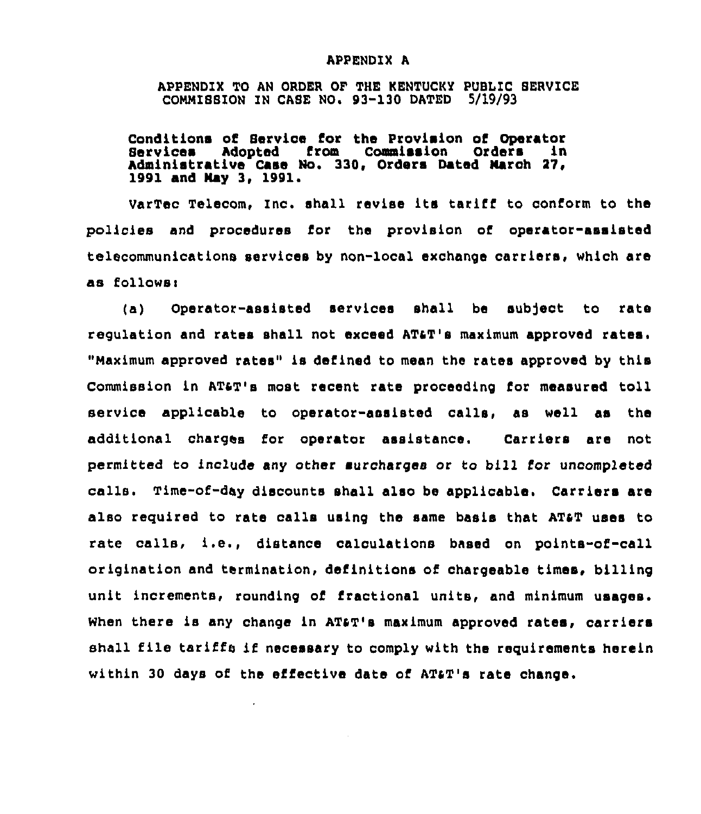## APPENDIX A

APPENDIX TO AN OADER OF THE KENTUCKY PUBLIC SEAVICE COMMISSION IN CASE NO. 93-130 DATED 5/19/93

Conditions of Service for the Provision of Operator Services Adopted from Commission Orders in Administrative Case No. 330, Orders Dated march 37, 1991 and Nay 3, 1991.

VarTec Telecom, Inc. shall revise its tarifi to conform to the policies and procedures for the provision of operator-assisted telecommunications services by non-local exchange carriers, which are as followsi

(a) Operator-assisted services shall be subject to rate regulation and rates shall not exceed ATaT's maximum approved rates. "maximum approved rates" is defined to mean the rates approved by this Commission in AT&T's most recent rate proceeding for measured toll service applicable to operator-assisted calls, as well as the additional charges for operator assistance. Carriers are not permitted to include any other surcharges or to bill for uncompleted calls. Time-of-day discounts shall also be applicable. Carriers are also required to rate calls using the same basis that ATaT uses to rate calls, i.e., distance caloulations based on points-of-call origination and termination, definitions of chargeable times, billing unit increments, rounding of fractional units, and minimum usages. When there is any change in AT&T's maximum approved rates, carriers shall file tariffs if necessary to comply with the requirements herein within 30 days of the effective data of ATaT's rate change.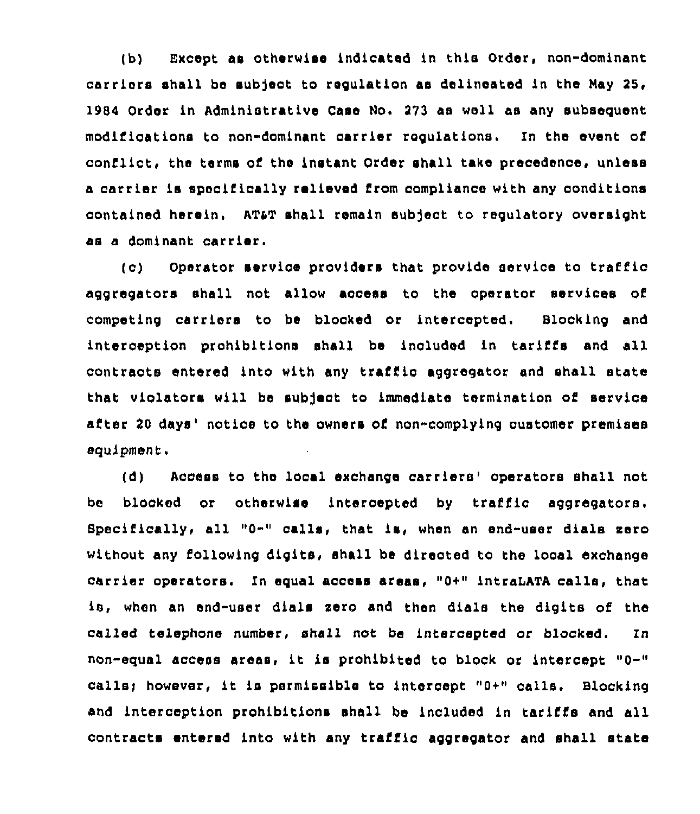(b) Except as otherwiae indicated in this Order, non-dominant carriers shall be subject to regulation as delineated in the May 25, 1984 Order in Administrative Case No. 273 as well as any subsequent modifications to non-dominant carrier regulations. In the event of conflict, the terms of the instant Order shall take precedence, unless a carrier is specifically relieved from compliance with any conditions contained herein. ATaT shall remain eub)ect to regulatory oversight as a dominant carrier.

(c) Operator service providers that provide service to traffic aggregators shall not allow access to the operator services of competing carriers to be blocked or 1ntercepted. Blocking and interception prohibitions shall be included in tariffs and all contracts entered into with any traffic aggregator and shall state that violators will be subject to immediate termination of service after 20 days' notice to the owners of non-complying customer premises equipment.

(d) Access to the local exchange carriers' operators shall not be blocked or otherwise 1ntercepted by traffic aggregatora, Specifically, all " $0 -$ " calls, that is, when an end-user dials zero without any following digits, shall be directed to the local exchange carrier operators. In equal access areas, "0+" intraLATA calls, that is, when an end-user dials zero and then dials the digits of the called telephone number, shall not be intercepted or blocked. In non-equal access areas, it is prohibited to block or intercept "0-" calls; however, it is permissible to intercept "0+" calls. Blocking and interception prohibitions shall be included in tariffs and all contracts entered into with any traffic aggregator and shall state